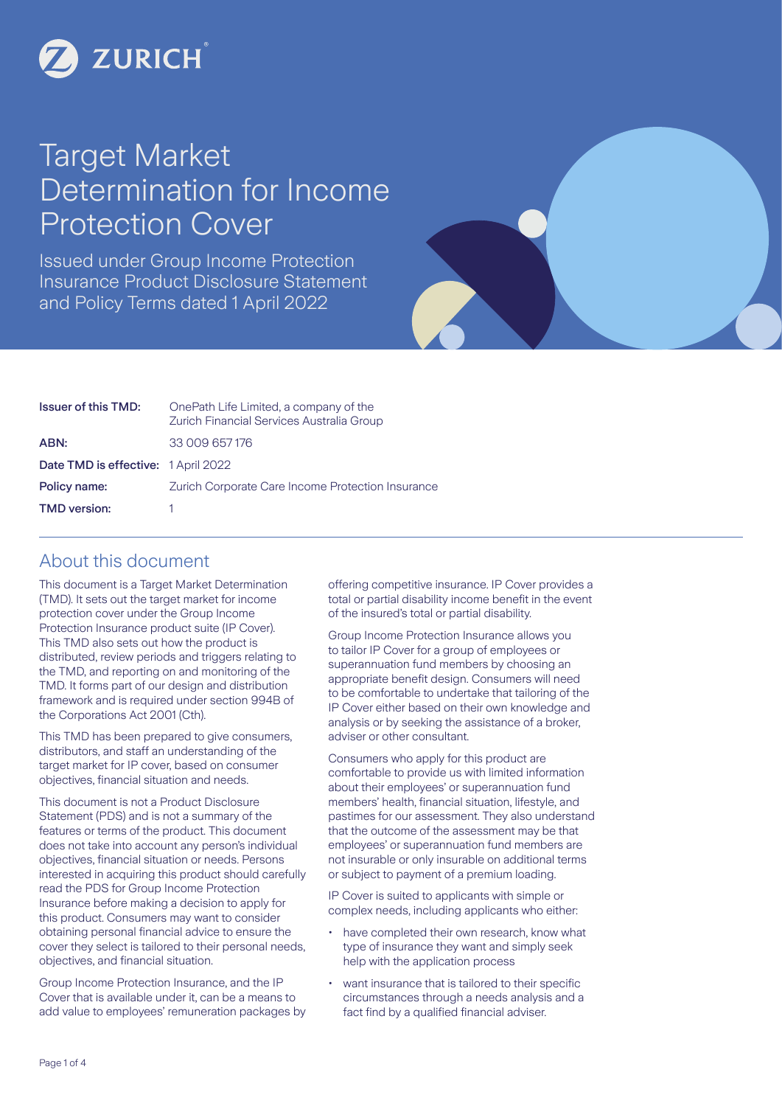

# Target Market Determination for Income Protection Cover

Issued under Group Income Protection Insurance Product Disclosure Statement and Policy Terms dated 1 April 2022

| <b>Issuer of this TMD:</b>          | OnePath Life Limited, a company of the<br>Zurich Financial Services Australia Group |
|-------------------------------------|-------------------------------------------------------------------------------------|
| ABN:                                | 33 009 657 176                                                                      |
| Date TMD is effective: 1 April 2022 |                                                                                     |
| Policy name:                        | Zurich Corporate Care Income Protection Insurance                                   |
| <b>TMD</b> version:                 |                                                                                     |

### About this document

This document is a Target Market Determination (TMD). It sets out the target market for income protection cover under the Group Income Protection Insurance product suite (IP Cover). This TMD also sets out how the product is distributed, review periods and triggers relating to the TMD, and reporting on and monitoring of the TMD. It forms part of our design and distribution framework and is required under section 994B of the Corporations Act 2001 (Cth).

This TMD has been prepared to give consumers, distributors, and staff an understanding of the target market for IP cover, based on consumer objectives, financial situation and needs.

This document is not a Product Disclosure Statement (PDS) and is not a summary of the features or terms of the product. This document does not take into account any person's individual objectives, financial situation or needs. Persons interested in acquiring this product should carefully read the PDS for Group Income Protection Insurance before making a decision to apply for this product. Consumers may want to consider obtaining personal financial advice to ensure the cover they select is tailored to their personal needs, objectives, and financial situation.

Group Income Protection Insurance, and the IP Cover that is available under it, can be a means to add value to employees' remuneration packages by offering competitive insurance. IP Cover provides a total or partial disability income benefit in the event of the insured's total or partial disability.

Group Income Protection Insurance allows you to tailor IP Cover for a group of employees or superannuation fund members by choosing an appropriate benefit design. Consumers will need to be comfortable to undertake that tailoring of the IP Cover either based on their own knowledge and analysis or by seeking the assistance of a broker, adviser or other consultant.

Consumers who apply for this product are comfortable to provide us with limited information about their employees' or superannuation fund members' health, financial situation, lifestyle, and pastimes for our assessment. They also understand that the outcome of the assessment may be that employees' or superannuation fund members are not insurable or only insurable on additional terms or subject to payment of a premium loading.

IP Cover is suited to applicants with simple or complex needs, including applicants who either:

- have completed their own research, know what type of insurance they want and simply seek help with the application process
- want insurance that is tailored to their specific circumstances through a needs analysis and a fact find by a qualified financial adviser.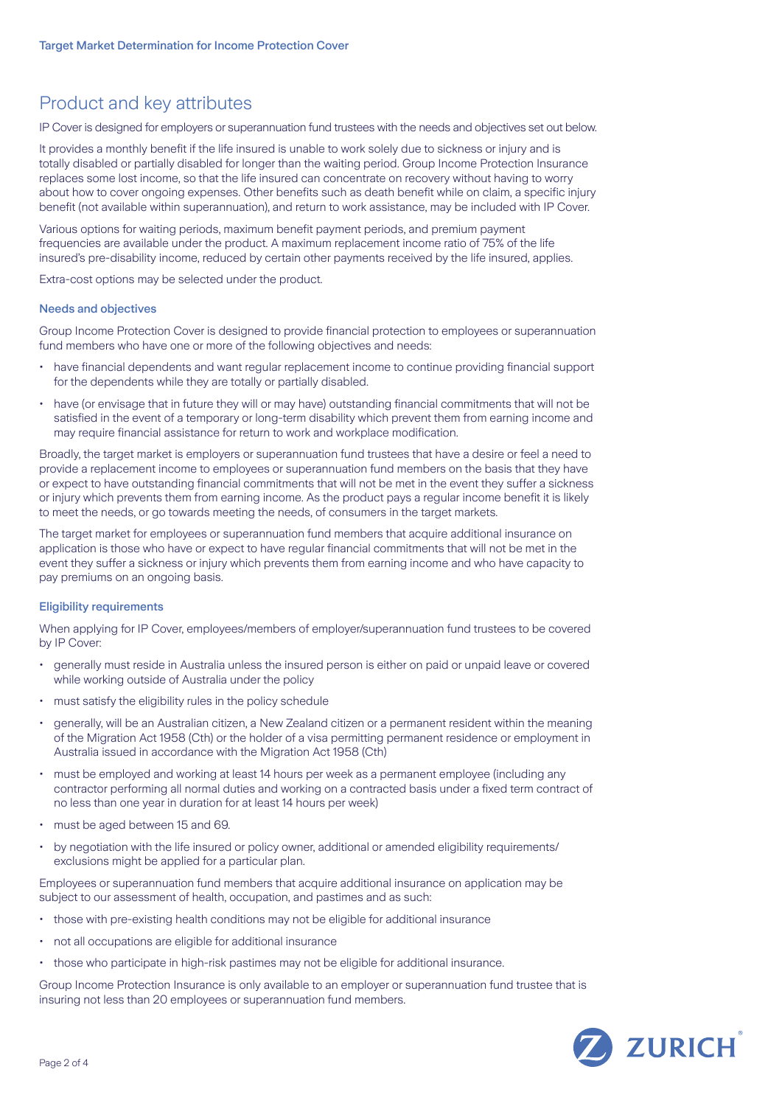# Product and key attributes

IP Cover is designed for employers or superannuation fund trustees with the needs and objectives set out below.

It provides a monthly benefit if the life insured is unable to work solely due to sickness or injury and is totally disabled or partially disabled for longer than the waiting period. Group Income Protection Insurance replaces some lost income, so that the life insured can concentrate on recovery without having to worry about how to cover ongoing expenses. Other benefits such as death benefit while on claim, a specific injury benefit (not available within superannuation), and return to work assistance, may be included with IP Cover.

Various options for waiting periods, maximum benefit payment periods, and premium payment frequencies are available under the product. A maximum replacement income ratio of 75% of the life insured's pre-disability income, reduced by certain other payments received by the life insured, applies.

Extra-cost options may be selected under the product.

### Needs and objectives

Group Income Protection Cover is designed to provide financial protection to employees or superannuation fund members who have one or more of the following objectives and needs:

- have financial dependents and want regular replacement income to continue providing financial support for the dependents while they are totally or partially disabled.
- have (or envisage that in future they will or may have) outstanding financial commitments that will not be satisfied in the event of a temporary or long-term disability which prevent them from earning income and may require financial assistance for return to work and workplace modification.

Broadly, the target market is employers or superannuation fund trustees that have a desire or feel a need to provide a replacement income to employees or superannuation fund members on the basis that they have or expect to have outstanding financial commitments that will not be met in the event they suffer a sickness or injury which prevents them from earning income. As the product pays a regular income benefit it is likely to meet the needs, or go towards meeting the needs, of consumers in the target markets.

The target market for employees or superannuation fund members that acquire additional insurance on application is those who have or expect to have regular financial commitments that will not be met in the event they suffer a sickness or injury which prevents them from earning income and who have capacity to pay premiums on an ongoing basis.

### Eligibility requirements

When applying for IP Cover, employees/members of employer/superannuation fund trustees to be covered by IP Cover:

- generally must reside in Australia unless the insured person is either on paid or unpaid leave or covered while working outside of Australia under the policy
- must satisfy the eligibility rules in the policy schedule
- generally, will be an Australian citizen, a New Zealand citizen or a permanent resident within the meaning of the Migration Act 1958 (Cth) or the holder of a visa permitting permanent residence or employment in Australia issued in accordance with the Migration Act 1958 (Cth)
- must be employed and working at least 14 hours per week as a permanent employee (including any contractor performing all normal duties and working on a contracted basis under a fixed term contract of no less than one year in duration for at least 14 hours per week)
- must be aged between 15 and 69.
- by negotiation with the life insured or policy owner, additional or amended eligibility requirements/ exclusions might be applied for a particular plan.

Employees or superannuation fund members that acquire additional insurance on application may be subject to our assessment of health, occupation, and pastimes and as such:

- those with pre-existing health conditions may not be eligible for additional insurance
- not all occupations are eligible for additional insurance
- those who participate in high-risk pastimes may not be eligible for additional insurance.

Group Income Protection Insurance is only available to an employer or superannuation fund trustee that is insuring not less than 20 employees or superannuation fund members.

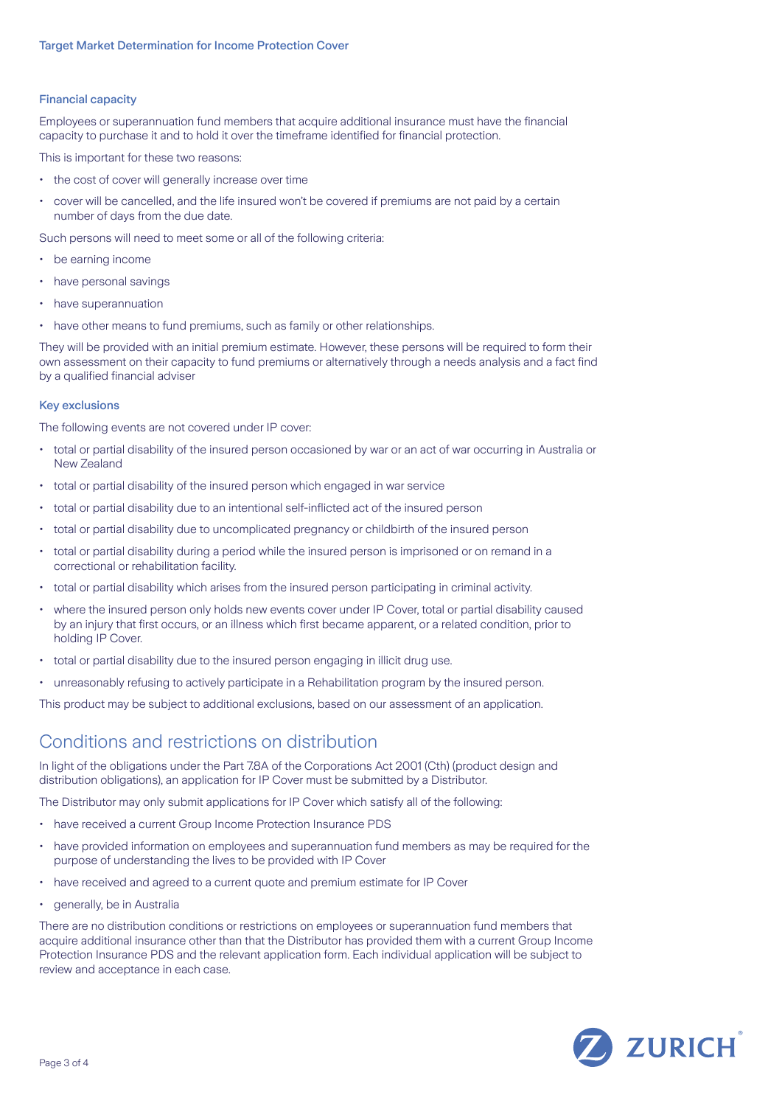### Financial capacity

Employees or superannuation fund members that acquire additional insurance must have the financial capacity to purchase it and to hold it over the timeframe identified for financial protection.

This is important for these two reasons:

- the cost of cover will generally increase over time
- cover will be cancelled, and the life insured won't be covered if premiums are not paid by a certain number of days from the due date.

Such persons will need to meet some or all of the following criteria:

- be earning income
- have personal savings
- have superannuation
- have other means to fund premiums, such as family or other relationships.

They will be provided with an initial premium estimate. However, these persons will be required to form their own assessment on their capacity to fund premiums or alternatively through a needs analysis and a fact find by a qualified financial adviser

#### Key exclusions

The following events are not covered under IP cover:

- total or partial disability of the insured person occasioned by war or an act of war occurring in Australia or New Zealand
- total or partial disability of the insured person which engaged in war service
- total or partial disability due to an intentional self-inflicted act of the insured person
- total or partial disability due to uncomplicated pregnancy or childbirth of the insured person
- total or partial disability during a period while the insured person is imprisoned or on remand in a correctional or rehabilitation facility.
- total or partial disability which arises from the insured person participating in criminal activity.
- where the insured person only holds new events cover under IP Cover, total or partial disability caused by an injury that first occurs, or an illness which first became apparent, or a related condition, prior to holding IP Cover.
- total or partial disability due to the insured person engaging in illicit drug use.
- unreasonably refusing to actively participate in a Rehabilitation program by the insured person.

This product may be subject to additional exclusions, based on our assessment of an application.

### Conditions and restrictions on distribution

In light of the obligations under the Part 7.8A of the Corporations Act 2001 (Cth) (product design and distribution obligations), an application for IP Cover must be submitted by a Distributor.

The Distributor may only submit applications for IP Cover which satisfy all of the following:

- have received a current Group Income Protection Insurance PDS
- have provided information on employees and superannuation fund members as may be required for the purpose of understanding the lives to be provided with IP Cover
- have received and agreed to a current quote and premium estimate for IP Cover
- generally, be in Australia

There are no distribution conditions or restrictions on employees or superannuation fund members that acquire additional insurance other than that the Distributor has provided them with a current Group Income Protection Insurance PDS and the relevant application form. Each individual application will be subject to review and acceptance in each case.